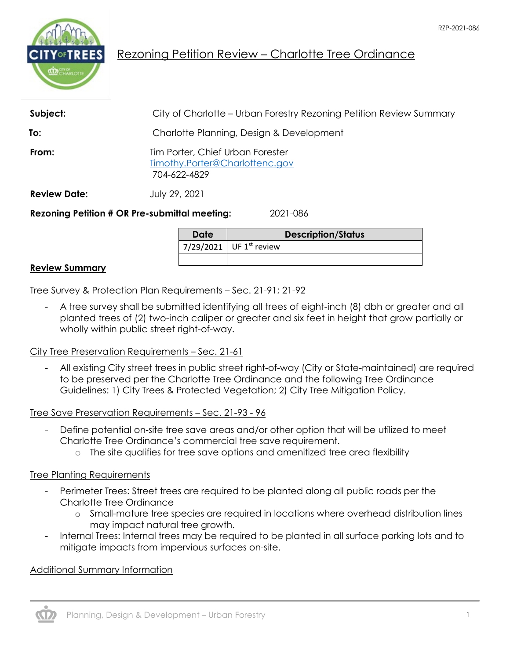

# Rezoning Petition Review – Charlotte Tree Ordinance

| <b>Review Date:</b> | July 29, 2021                                                                      |  |
|---------------------|------------------------------------------------------------------------------------|--|
| From:               | Tim Porter, Chief Urban Forester<br>Timothy.Porter@Charlottenc.gov<br>704-622-4829 |  |
| To:                 | Charlotte Planning, Design & Development                                           |  |
| Subject:            | City of Charlotte – Urban Forestry Rezoning Petition Review Summary                |  |

**Date Description/Status** 7/29/2021 UF  $1^{st}$  review

### **Review Summary**

Tree Survey & Protection Plan Requirements – Sec. 21-91; 21-92

- A tree survey shall be submitted identifying all trees of eight-inch (8) dbh or greater and all planted trees of (2) two-inch caliper or greater and six feet in height that grow partially or wholly within public street right-of-way.

### City Tree Preservation Requirements – Sec. 21-61

- All existing City street trees in public street right-of-way (City or State-maintained) are required to be preserved per the Charlotte Tree Ordinance and the following Tree Ordinance Guidelines: 1) City Trees & Protected Vegetation; 2) City Tree Mitigation Policy.

### Tree Save Preservation Requirements – Sec. 21-93 - 96

- Define potential on-site tree save areas and/or other option that will be utilized to meet Charlotte Tree Ordinance's commercial tree save requirement.
	- o The site qualifies for tree save options and amenitized tree area flexibility

### Tree Planting Requirements

- Perimeter Trees: Street trees are required to be planted along all public roads per the Charlotte Tree Ordinance
	- o Small-mature tree species are required in locations where overhead distribution lines may impact natural tree growth.
- Internal Trees: Internal trees may be required to be planted in all surface parking lots and to mitigate impacts from impervious surfaces on-site.

### Additional Summary Information